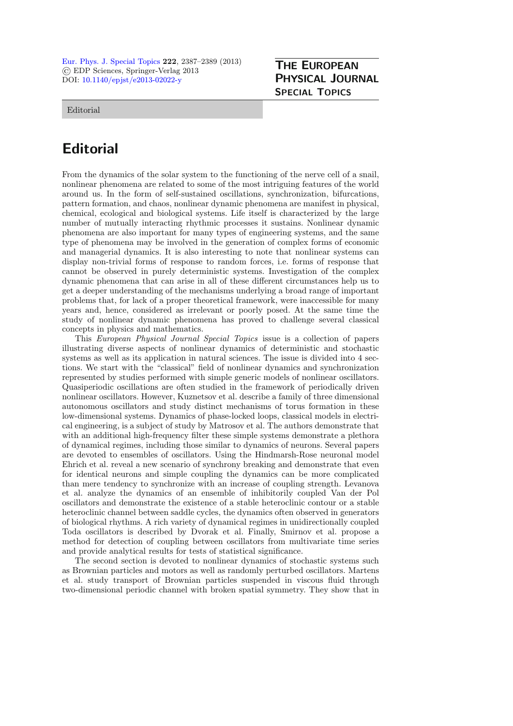[Eur. Phys. J. Special Topics](http://www.epj.org/) 222, 2387–2389 (2013) © EDP Sciences, Springer-Verlag 2013 DOI: [10.1140/epjst/e2013-02022-y](http://dx.doi.org/10.1140/epjst/e2013-02022-y)

## THE EUROPEAN PHYSICAL JOURNAL SPECIAL TOPICS

Editorial

## **Editorial**

From the dynamics of the solar system to the functioning of the nerve cell of a snail, nonlinear phenomena are related to some of the most intriguing features of the world around us. In the form of self-sustained oscillations, synchronization, bifurcations, pattern formation, and chaos, nonlinear dynamic phenomena are manifest in physical, chemical, ecological and biological systems. Life itself is characterized by the large number of mutually interacting rhythmic processes it sustains. Nonlinear dynamic phenomena are also important for many types of engineering systems, and the same type of phenomena may be involved in the generation of complex forms of economic and managerial dynamics. It is also interesting to note that nonlinear systems can display non-trivial forms of response to random forces, i.e. forms of response that cannot be observed in purely deterministic systems. Investigation of the complex dynamic phenomena that can arise in all of these different circumstances help us to get a deeper understanding of the mechanisms underlying a broad range of important problems that, for lack of a proper theoretical framework, were inaccessible for many years and, hence, considered as irrelevant or poorly posed. At the same time the study of nonlinear dynamic phenomena has proved to challenge several classical concepts in physics and mathematics.

This European Physical Journal Special Topics issue is a collection of papers illustrating diverse aspects of nonlinear dynamics of deterministic and stochastic systems as well as its application in natural sciences. The issue is divided into 4 sections. We start with the "classical" field of nonlinear dynamics and synchronization represented by studies performed with simple generic models of nonlinear oscillators. Quasiperiodic oscillations are often studied in the framework of periodically driven nonlinear oscillators. However, Kuznetsov et al. describe a family of three dimensional autonomous oscillators and study distinct mechanisms of torus formation in these low-dimensional systems. Dynamics of phase-locked loops, classical models in electrical engineering, is a subject of study by Matrosov et al. The authors demonstrate that with an additional high-frequency filter these simple systems demonstrate a plethora of dynamical regimes, including those similar to dynamics of neurons. Several papers are devoted to ensembles of oscillators. Using the Hindmarsh-Rose neuronal model Ehrich et al. reveal a new scenario of synchrony breaking and demonstrate that even for identical neurons and simple coupling the dynamics can be more complicated than mere tendency to synchronize with an increase of coupling strength. Levanova et al. analyze the dynamics of an ensemble of inhibitorily coupled Van der Pol oscillators and demonstrate the existence of a stable heteroclinic contour or a stable heteroclinic channel between saddle cycles, the dynamics often observed in generators of biological rhythms. A rich variety of dynamical regimes in unidirectionally coupled Toda oscillators is described by Dvorak et al. Finally, Smirnov et al. propose a method for detection of coupling between oscillators from multivariate time series and provide analytical results for tests of statistical significance.

The second section is devoted to nonlinear dynamics of stochastic systems such as Brownian particles and motors as well as randomly perturbed oscillators. Martens et al. study transport of Brownian particles suspended in viscous fluid through two-dimensional periodic channel with broken spatial symmetry. They show that in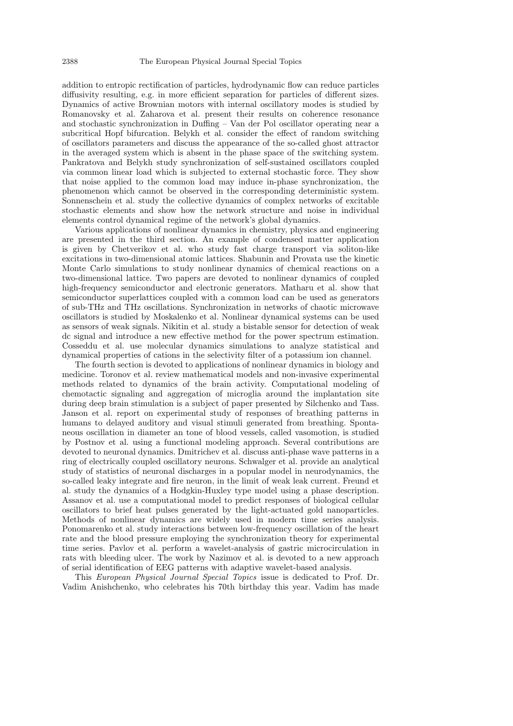addition to entropic rectification of particles, hydrodynamic flow can reduce particles diffusivity resulting, e.g. in more efficient separation for particles of different sizes. Dynamics of active Brownian motors with internal oscillatory modes is studied by Romanovsky et al. Zaharova et al. present their results on coherence resonance and stochastic synchronization in Duffing – Van der Pol oscillator operating near a subcritical Hopf bifurcation. Belykh et al. consider the effect of random switching of oscillators parameters and discuss the appearance of the so-called ghost attractor in the averaged system which is absent in the phase space of the switching system. Pankratova and Belykh study synchronization of self-sustained oscillators coupled via common linear load which is subjected to external stochastic force. They show that noise applied to the common load may induce in-phase synchronization, the phenomenon which cannot be observed in the corresponding deterministic system. Sonnenschein et al. study the collective dynamics of complex networks of excitable stochastic elements and show how the network structure and noise in individual elements control dynamical regime of the network's global dynamics.

Various applications of nonlinear dynamics in chemistry, physics and engineering are presented in the third section. An example of condensed matter application is given by Chetverikov et al. who study fast charge transport via soliton-like excitations in two-dimensional atomic lattices. Shabunin and Provata use the kinetic Monte Carlo simulations to study nonlinear dynamics of chemical reactions on a two-dimensional lattice. Two papers are devoted to nonlinear dynamics of coupled high-frequency semiconductor and electronic generators. Matharu et al. show that semiconductor superlattices coupled with a common load can be used as generators of sub-THz and THz oscillations. Synchronization in networks of chaotic microwave oscillators is studied by Moskalenko et al. Nonlinear dynamical systems can be used as sensors of weak signals. Nikitin et al. study a bistable sensor for detection of weak dc signal and introduce a new effective method for the power spectrum estimation. Cosseddu et al. use molecular dynamics simulations to analyze statistical and dynamical properties of cations in the selectivity filter of a potassium ion channel.

The fourth section is devoted to applications of nonlinear dynamics in biology and medicine. Toronov et al. review mathematical models and non-invasive experimental methods related to dynamics of the brain activity. Computational modeling of chemotactic signaling and aggregation of microglia around the implantation site during deep brain stimulation is a subject of paper presented by Silchenko and Tass. Janson et al. report on experimental study of responses of breathing patterns in humans to delayed auditory and visual stimuli generated from breathing. Spontaneous oscillation in diameter an tone of blood vessels, called vasomotion, is studied by Postnov et al. using a functional modeling approach. Several contributions are devoted to neuronal dynamics. Dmitrichev et al. discuss anti-phase wave patterns in a ring of electrically coupled oscillatory neurons. Schwalger et al. provide an analytical study of statistics of neuronal discharges in a popular model in neurodynamics, the so-called leaky integrate and fire neuron, in the limit of weak leak current. Freund et al. study the dynamics of a Hodgkin-Huxley type model using a phase description. Assanov et al. use a computational model to predict responses of biological cellular oscillators to brief heat pulses generated by the light-actuated gold nanoparticles. Methods of nonlinear dynamics are widely used in modern time series analysis. Ponomarenko et al. study interactions between low-frequency oscillation of the heart rate and the blood pressure employing the synchronization theory for experimental time series. Pavlov et al. perform a wavelet-analysis of gastric microcirculation in rats with bleeding ulcer. The work by Nazimov et al. is devoted to a new approach of serial identification of EEG patterns with adaptive wavelet-based analysis.

This European Physical Journal Special Topics issue is dedicated to Prof. Dr. Vadim Anishchenko, who celebrates his 70th birthday this year. Vadim has made